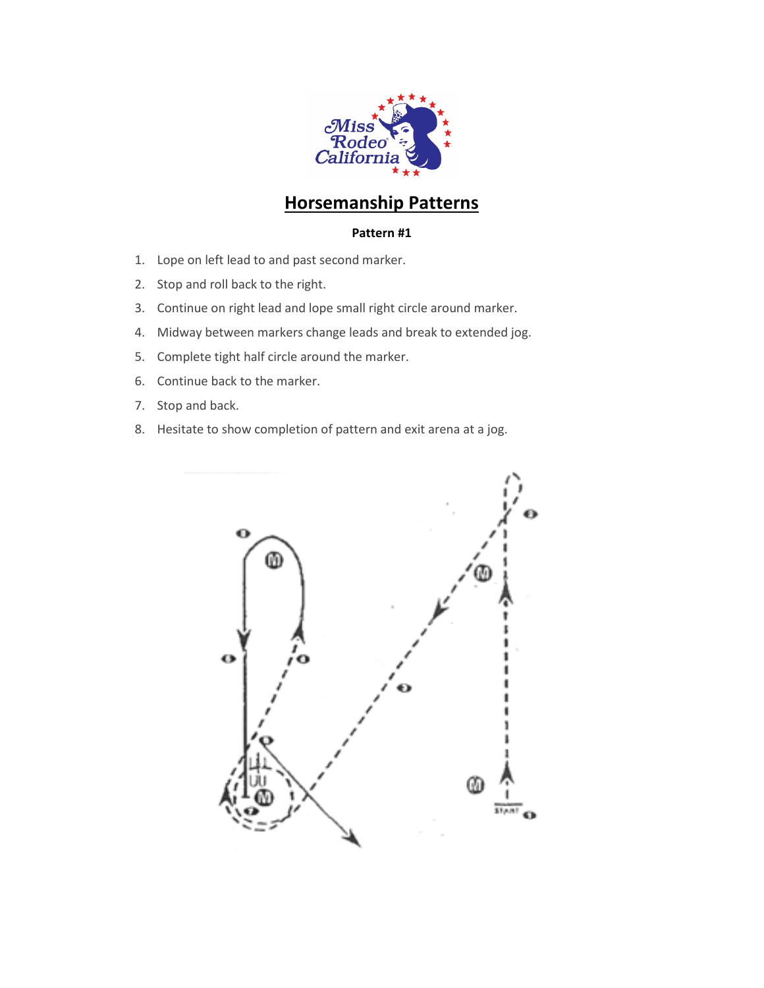

# **Horsemanship Patterns**

- 1. Lope on left lead to and past second marker.
- 2. Stop and roll back to the right.
- 3. Continue on right lead and lope small right circle around marker.
- 4. Midway between markers change leads and break to extended jog.
- 5. Complete tight half circle around the marker.
- 6. Continue back to the marker.
- 7. Stop and back.
- 8. Hesitate to show completion of pattern and exit arena at a jog.

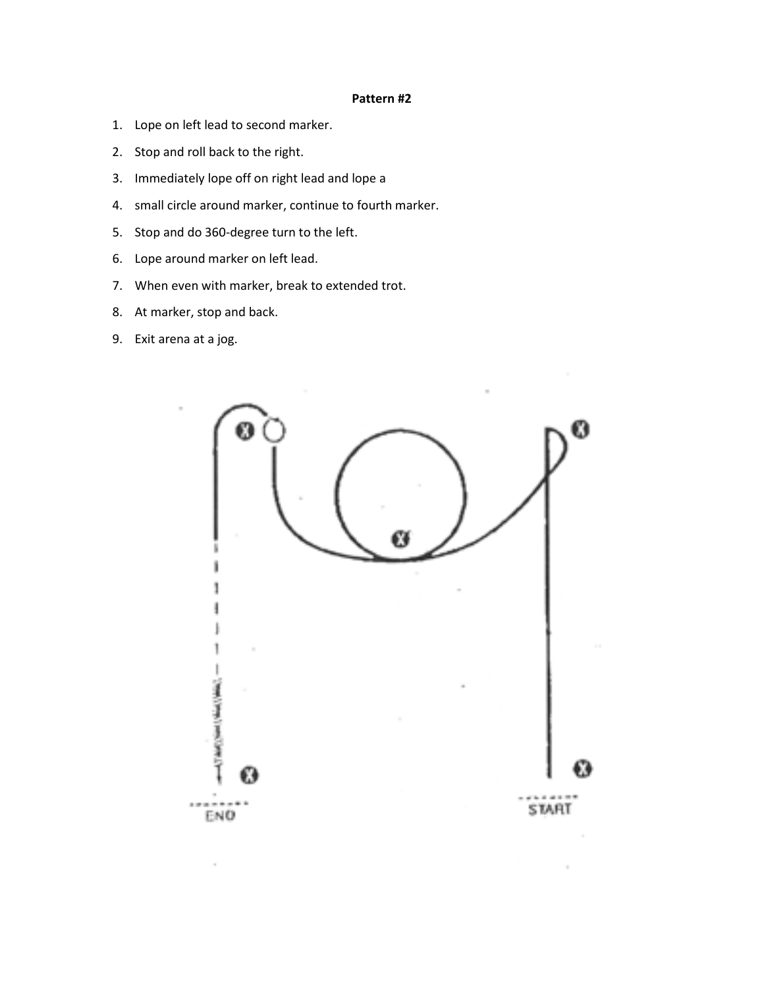- 1. Lope on left lead to second marker.
- 2. Stop and roll back to the right.
- 3. Immediately lope off on right lead and lope a
- 4. small circle around marker, continue to fourth marker.
- 5. Stop and do 360-degree turn to the left.
- 6. Lope around marker on left lead.
- 7. When even with marker, break to extended trot.
- 8. At marker, stop and back.
- 9. Exit arena at a jog.

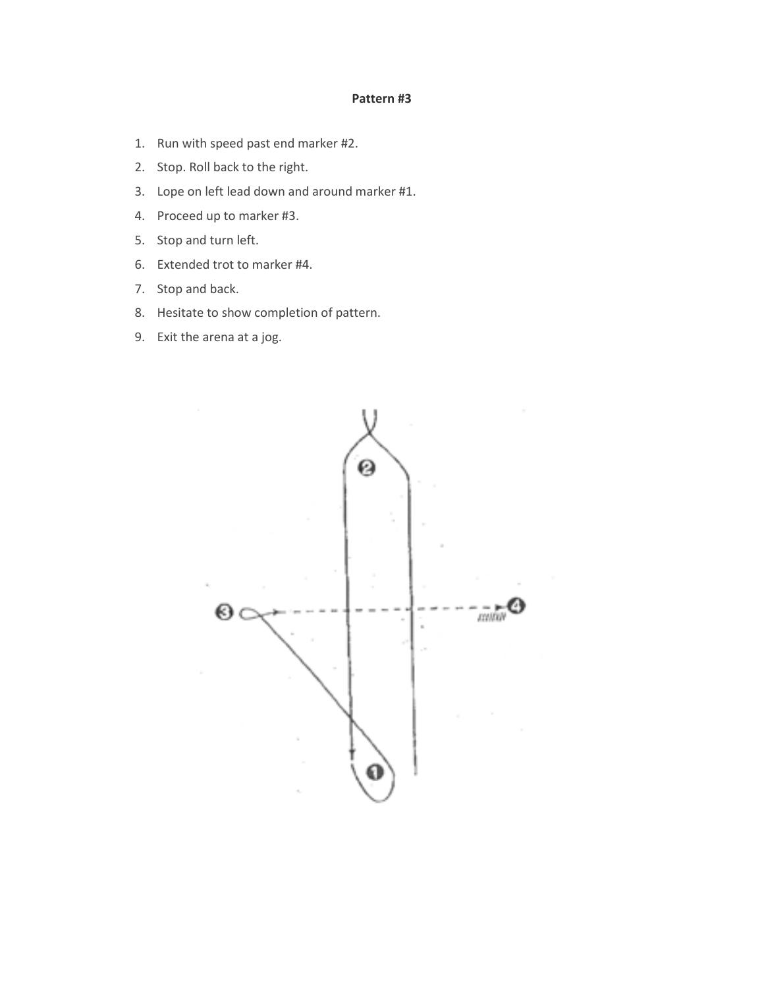- 1. Run with speed past end marker #2.
- 2. Stop. Roll back to the right.
- 3. Lope on left lead down and around marker #1.
- 4. Proceed up to marker #3.
- 5. Stop and turn left.
- 6. Extended trot to marker #4.
- 7. Stop and back.
- 8. Hesitate to show completion of pattern.
- 9. Exit the arena at a jog.

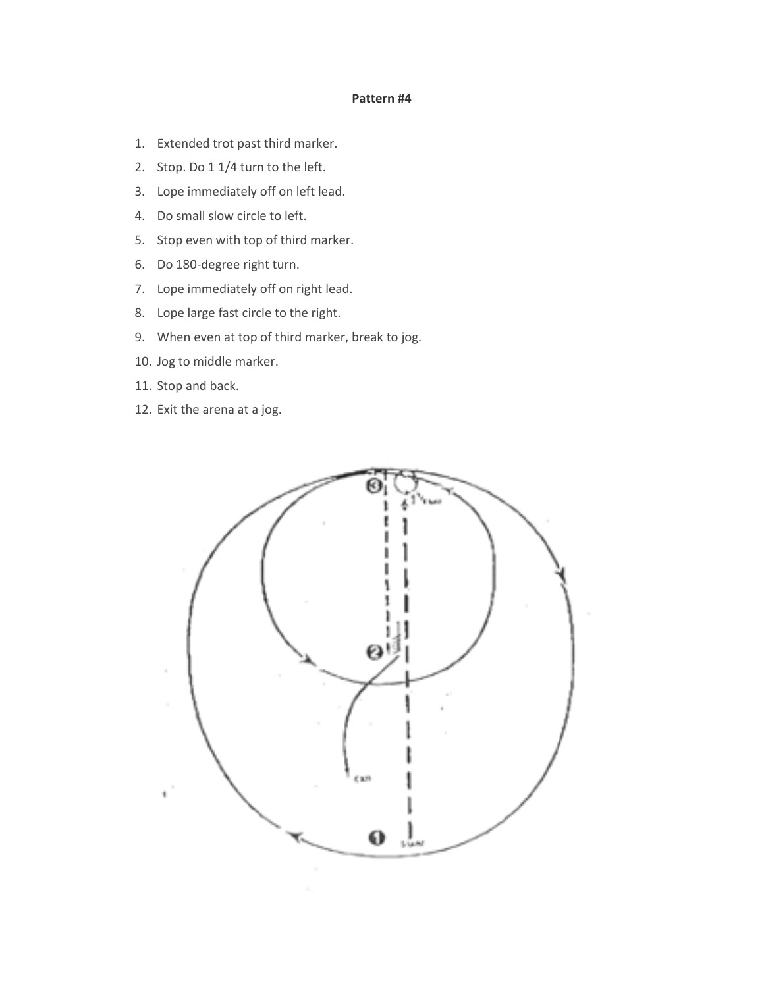- 1. Extended trot past third marker.
- 2. Stop. Do 1 1/4 turn to the left.
- 3. Lope immediately off on left lead.
- 4. Do small slow circle to left.
- 5. Stop even with top of third marker.
- 6. Do 180-degree right turn.
- 7. Lope immediately off on right lead.
- 8. Lope large fast circle to the right.
- 9. When even at top of third marker, break to jog.
- 10. Jog to middle marker.
- 11. Stop and back.
- 12. Exit the arena at a jog.

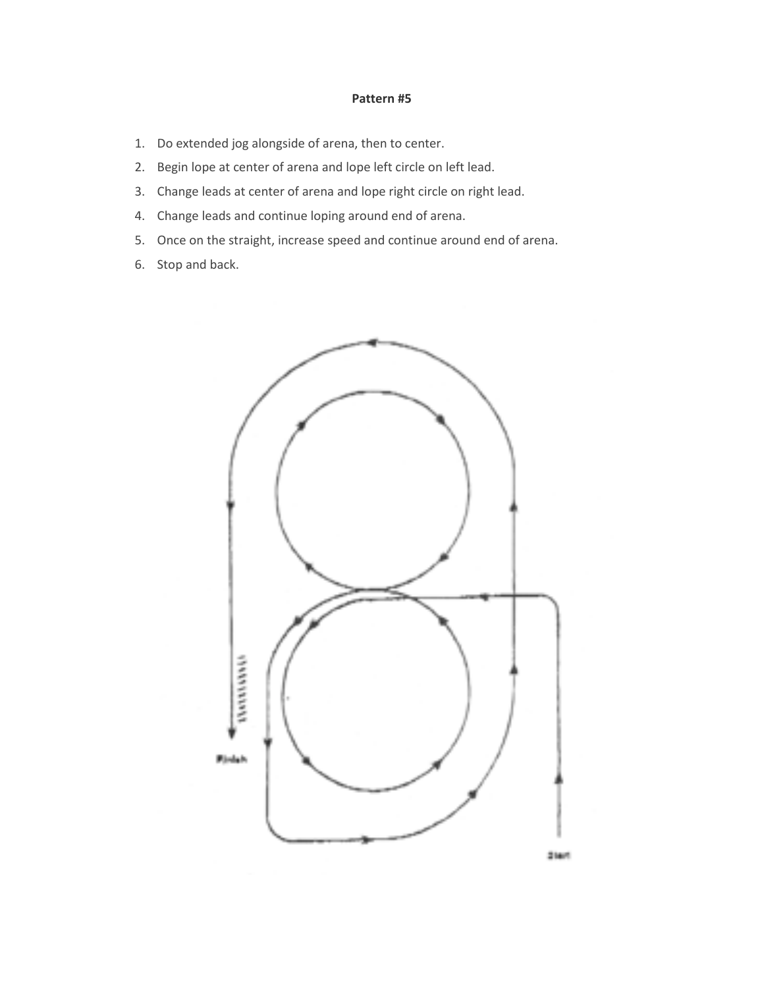- 1. Do extended jog alongside of arena, then to center.
- 2. Begin lope at center of arena and lope left circle on left lead.
- 3. Change leads at center of arena and lope right circle on right lead.
- 4. Change leads and continue loping around end of arena.
- 5. Once on the straight, increase speed and continue around end of arena.
- 6. Stop and back.